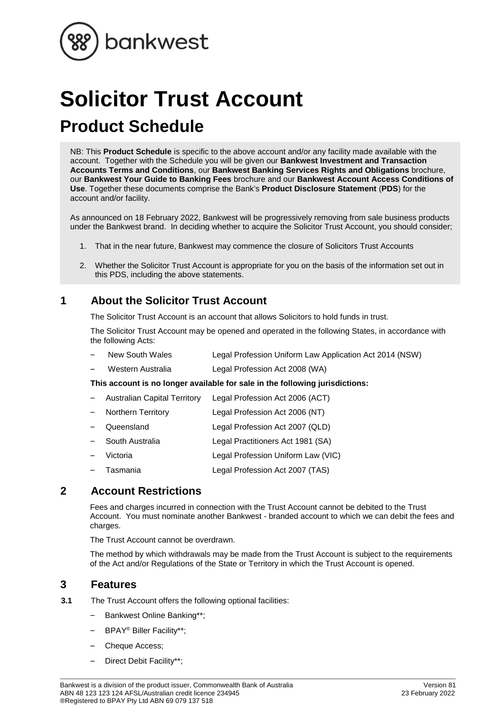

# **Solicitor Trust Account Product Schedule**

NB: This **Product Schedule** is specific to the above account and/or any facility made available with the account. Together with the Schedule you will be given our **Bankwest Investment and Transaction Accounts Terms and Conditions**, our **Bankwest Banking Services Rights and Obligations** brochure, our **Bankwest Your Guide to Banking Fees** brochure and our **Bankwest Account Access Conditions of Use**. Together these documents comprise the Bank's **Product Disclosure Statement** (**PDS**) for the account and/or facility.

As announced on 18 February 2022, Bankwest will be progressively removing from sale business products under the Bankwest brand. In deciding whether to acquire the Solicitor Trust Account, you should consider;

- 1. That in the near future, Bankwest may commence the closure of Solicitors Trust Accounts
- 2. Whether the Solicitor Trust Account is appropriate for you on the basis of the information set out in this PDS, including the above statements.

## **1 About the Solicitor Trust Account**

The Solicitor Trust Account is an account that allows Solicitors to hold funds in trust.

The Solicitor Trust Account may be opened and operated in the following States, in accordance with the following Acts:

- New South Wales Legal Profession Uniform Law Application Act 2014 (NSW)
- Western Australia Legal Profession Act 2008 (WA)

**This account is no longer available for sale in the following jurisdictions:**

- Australian Capital Territory Legal Profession Act 2006 (ACT)  $\overline{\phantom{a}}$
- $\overline{\phantom{a}}$ Northern Territory Legal Profession Act 2006 (NT)
- Queensland Legal Profession Act 2007 (QLD)
- South Australia Legal Practitioners Act 1981 (SA)  $\overline{\phantom{a}}$
- Victoria Legal Profession Uniform Law (VIC)
- Tasmania Legal Profession Act 2007 (TAS)

## **2 Account Restrictions**

Fees and charges incurred in connection with the Trust Account cannot be debited to the Trust Account. You must nominate another Bankwest - branded account to which we can debit the fees and charges.

The Trust Account cannot be overdrawn.

The method by which withdrawals may be made from the Trust Account is subject to the requirements of the Act and/or Regulations of the State or Territory in which the Trust Account is opened.

## **3 Features**

- **3.1** The Trust Account offers the following optional facilities:
	- Bankwest Online Banking\*\*;  $\overline{\phantom{a}}$
	- $\overline{a}$ BPAY® Biller Facility\*\*;
	- Cheque Access:
	- Direct Debit Facility\*\*; $\overline{\phantom{a}}$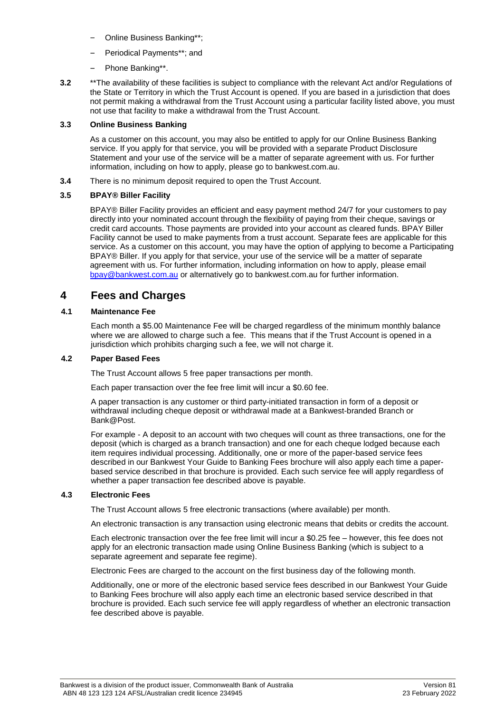- Online Business Banking\*\*;
- Periodical Payments\*\*; and  $\overline{\phantom{a}}$
- $\qquad \qquad -$ Phone Banking\*\*.
- **3.2** \*\*The availability of these facilities is subject to compliance with the relevant Act and/or Regulations of the State or Territory in which the Trust Account is opened. If you are based in a jurisdiction that does not permit making a withdrawal from the Trust Account using a particular facility listed above, you must not use that facility to make a withdrawal from the Trust Account.

#### **3.3 Online Business Banking**

As a customer on this account, you may also be entitled to apply for our Online Business Banking service. If you apply for that service, you will be provided with a separate Product Disclosure Statement and your use of the service will be a matter of separate agreement with us. For further information, including on how to apply, please go to bankwest.com.au.

**3.4** There is no minimum deposit required to open the Trust Account.

#### **3.5 BPAY® Biller Facility**

BPAY® Biller Facility provides an efficient and easy payment method 24/7 for your customers to pay directly into your nominated account through the flexibility of paying from their cheque, savings or credit card accounts. Those payments are provided into your account as cleared funds. BPAY Biller Facility cannot be used to make payments from a trust account. Separate fees are applicable for this service. As a customer on this account, you may have the option of applying to become a Participating BPAY® Biller. If you apply for that service, your use of the service will be a matter of separate agreement with us. For further information, including information on how to apply, please email [bpay@bankwest.com.au](mailto:bpay@bankwest.com.au) or alternatively go to bankwest.com.au for further information.

## **4 Fees and Charges**

#### **4.1 Maintenance Fee**

Each month a \$5.00 Maintenance Fee will be charged regardless of the minimum monthly balance where we are allowed to charge such a fee. This means that if the Trust Account is opened in a jurisdiction which prohibits charging such a fee, we will not charge it.

#### **4.2 Paper Based Fees**

The Trust Account allows 5 free paper transactions per month.

Each paper transaction over the fee free limit will incur a \$0.60 fee.

A paper transaction is any customer or third party-initiated transaction in form of a deposit or withdrawal including cheque deposit or withdrawal made at a Bankwest-branded Branch or Bank@Post.

For example - A deposit to an account with two cheques will count as three transactions, one for the deposit (which is charged as a branch transaction) and one for each cheque lodged because each item requires individual processing. Additionally, one or more of the paper-based service fees described in our Bankwest Your Guide to Banking Fees brochure will also apply each time a paperbased service described in that brochure is provided. Each such service fee will apply regardless of whether a paper transaction fee described above is payable.

#### **4.3 Electronic Fees**

The Trust Account allows 5 free electronic transactions (where available) per month.

An electronic transaction is any transaction using electronic means that debits or credits the account.

Each electronic transaction over the fee free limit will incur a \$0.25 fee – however, this fee does not apply for an electronic transaction made using Online Business Banking (which is subject to a separate agreement and separate fee regime).

Electronic Fees are charged to the account on the first business day of the following month.

Additionally, one or more of the electronic based service fees described in our Bankwest Your Guide to Banking Fees brochure will also apply each time an electronic based service described in that brochure is provided. Each such service fee will apply regardless of whether an electronic transaction fee described above is payable.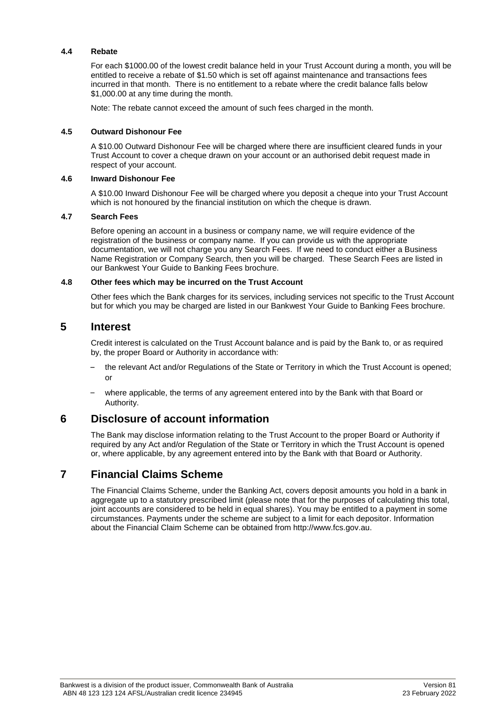#### **4.4 Rebate**

For each \$1000.00 of the lowest credit balance held in your Trust Account during a month, you will be entitled to receive a rebate of \$1.50 which is set off against maintenance and transactions fees incurred in that month. There is no entitlement to a rebate where the credit balance falls below \$1,000.00 at any time during the month.

Note: The rebate cannot exceed the amount of such fees charged in the month.

#### **4.5 Outward Dishonour Fee**

A \$10.00 Outward Dishonour Fee will be charged where there are insufficient cleared funds in your Trust Account to cover a cheque drawn on your account or an authorised debit request made in respect of your account.

#### **4.6 Inward Dishonour Fee**

A \$10.00 Inward Dishonour Fee will be charged where you deposit a cheque into your Trust Account which is not honoured by the financial institution on which the cheque is drawn.

#### **4.7 Search Fees**

Before opening an account in a business or company name, we will require evidence of the registration of the business or company name. If you can provide us with the appropriate documentation, we will not charge you any Search Fees. If we need to conduct either a Business Name Registration or Company Search, then you will be charged. These Search Fees are listed in our Bankwest Your Guide to Banking Fees brochure.

#### **4.8 Other fees which may be incurred on the Trust Account**

Other fees which the Bank charges for its services, including services not specific to the Trust Account but for which you may be charged are listed in our Bankwest Your Guide to Banking Fees brochure.

### **5 Interest**

Credit interest is calculated on the Trust Account balance and is paid by the Bank to, or as required by, the proper Board or Authority in accordance with:

- the relevant Act and/or Regulations of the State or Territory in which the Trust Account is opened; or
- where applicable, the terms of any agreement entered into by the Bank with that Board or Authority.

## **6 Disclosure of account information**

The Bank may disclose information relating to the Trust Account to the proper Board or Authority if required by any Act and/or Regulation of the State or Territory in which the Trust Account is opened or, where applicable, by any agreement entered into by the Bank with that Board or Authority.

## **7 Financial Claims Scheme**

The Financial Claims Scheme, under the Banking Act, covers deposit amounts you hold in a bank in aggregate up to a statutory prescribed limit (please note that for the purposes of calculating this total, joint accounts are considered to be held in equal shares). You may be entitled to a payment in some circumstances. Payments under the scheme are subject to a limit for each depositor. Information about the Financial Claim Scheme can be obtained from http://www.fcs.gov.au.